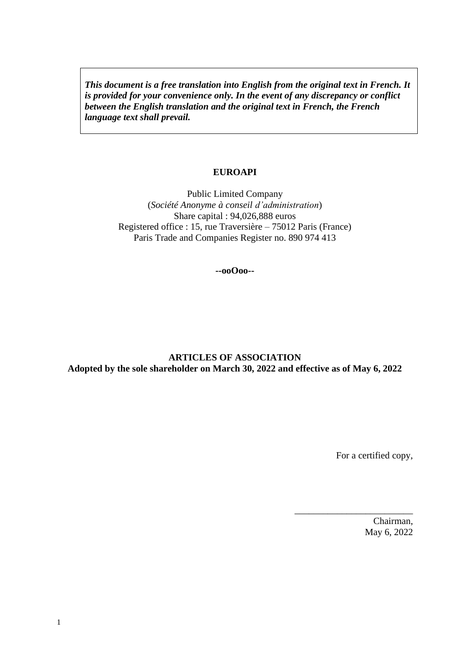*This document is a free translation into English from the original text in French. It is provided for your convenience only. In the event of any discrepancy or conflict between the English translation and the original text in French, the French language text shall prevail.* 

#### **EUROAPI**

Public Limited Company (*Société Anonyme à conseil d'administration*) Share capital : 94,026,888 euros Registered office : 15, rue Traversière – 75012 Paris (France) Paris Trade and Companies Register no. 890 974 413

**--ooOoo--**

## **ARTICLES OF ASSOCIATION Adopted by the sole shareholder on March 30, 2022 and effective as of May 6, 2022**

For a certified copy,

\_\_\_\_\_\_\_\_\_\_\_\_\_\_\_\_\_\_\_\_\_\_\_\_\_

Chairman, May 6, 2022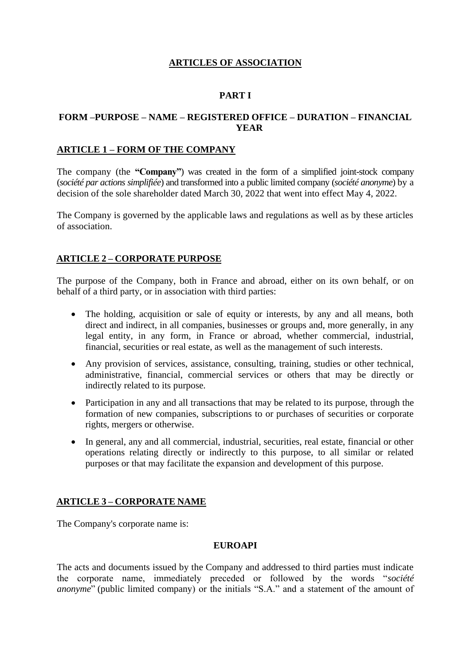# **ARTICLES OF ASSOCIATION**

# **PART I**

## **FORM –PURPOSE – NAME – REGISTERED OFFICE – DURATION – FINANCIAL YEAR**

#### **ARTICLE 1 – FORM OF THE COMPANY**

The company (the **"Company"**) was created in the form of a simplified joint-stock company (*société par actions simplifiée*) and transformed into a public limited company (*société anonyme*) by a decision of the sole shareholder dated March 30, 2022 that went into effect May 4, 2022.

The Company is governed by the applicable laws and regulations as well as by these articles of association.

## **ARTICLE 2 – CORPORATE PURPOSE**

The purpose of the Company, both in France and abroad, either on its own behalf, or on behalf of a third party, or in association with third parties:

- The holding, acquisition or sale of equity or interests, by any and all means, both direct and indirect, in all companies, businesses or groups and, more generally, in any legal entity, in any form, in France or abroad, whether commercial, industrial, financial, securities or real estate, as well as the management of such interests.
- Any provision of services, assistance, consulting, training, studies or other technical, administrative, financial, commercial services or others that may be directly or indirectly related to its purpose.
- Participation in any and all transactions that may be related to its purpose, through the formation of new companies, subscriptions to or purchases of securities or corporate rights, mergers or otherwise.
- In general, any and all commercial, industrial, securities, real estate, financial or other operations relating directly or indirectly to this purpose, to all similar or related purposes or that may facilitate the expansion and development of this purpose.

#### **ARTICLE 3 – CORPORATE NAME**

The Company's corporate name is:

#### **EUROAPI**

The acts and documents issued by the Company and addressed to third parties must indicate the corporate name, immediately preceded or followed by the words "*société anonyme*" (public limited company) or the initials "S.A." and a statement of the amount of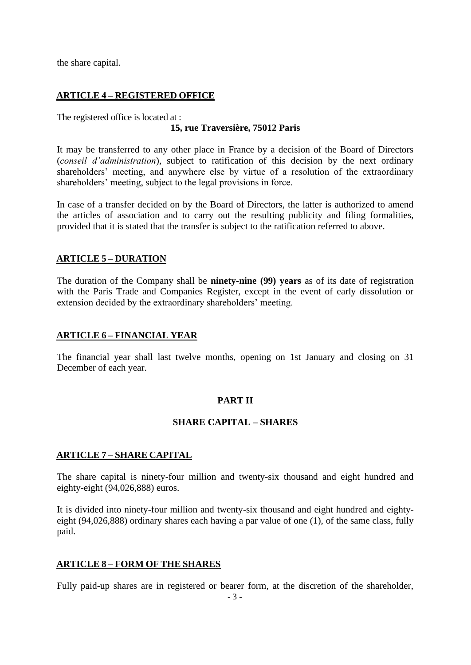the share capital.

# **ARTICLE 4 – REGISTERED OFFICE**

The registered office is located at :

## **15, rue Traversière, 75012 Paris**

It may be transferred to any other place in France by a decision of the Board of Directors (*conseil d'administration*), subject to ratification of this decision by the next ordinary shareholders' meeting, and anywhere else by virtue of a resolution of the extraordinary shareholders' meeting, subject to the legal provisions in force.

In case of a transfer decided on by the Board of Directors, the latter is authorized to amend the articles of association and to carry out the resulting publicity and filing formalities, provided that it is stated that the transfer is subject to the ratification referred to above.

## **ARTICLE 5 – DURATION**

The duration of the Company shall be **ninety-nine (99) years** as of its date of registration with the Paris Trade and Companies Register, except in the event of early dissolution or extension decided by the extraordinary shareholders' meeting.

#### **ARTICLE 6 – FINANCIAL YEAR**

The financial year shall last twelve months, opening on 1st January and closing on 31 December of each year.

## **PART II**

## **SHARE CAPITAL – SHARES**

#### **ARTICLE 7 – SHARE CAPITAL**

The share capital is ninety-four million and twenty-six thousand and eight hundred and eighty-eight (94,026,888) euros.

It is divided into ninety-four million and twenty-six thousand and eight hundred and eightyeight (94,026,888) ordinary shares each having a par value of one (1), of the same class, fully paid.

## **ARTICLE 8 – FORM OF THE SHARES**

Fully paid-up shares are in registered or bearer form, at the discretion of the shareholder,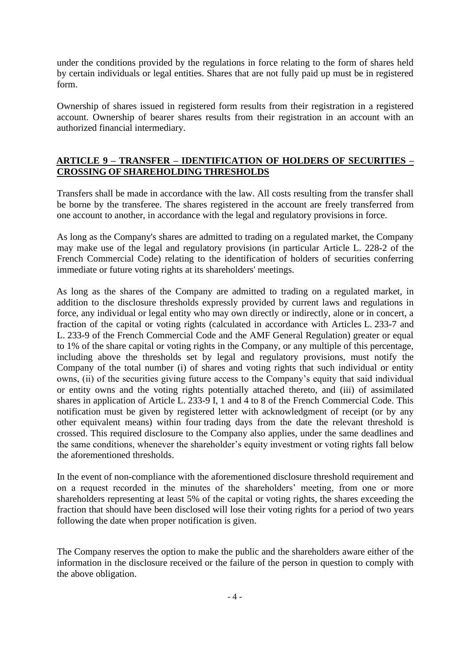under the conditions provided by the regulations in force relating to the form of shares held by certain individuals or legal entities. Shares that are not fully paid up must be in registered form.

Ownership of shares issued in registered form results from their registration in a registered account. Ownership of bearer shares results from their registration in an account with an authorized financial intermediary.

#### **ARTICLE 9 – TRANSFER – IDENTIFICATION OF HOLDERS OF SECURITIES – CROSSING OF SHAREHOLDING THRESHOLDS**

Transfers shall be made in accordance with the law. All costs resulting from the transfer shall be borne by the transferee. The shares registered in the account are freely transferred from one account to another, in accordance with the legal and regulatory provisions in force.

As long as the Company's shares are admitted to trading on a regulated market, the Company may make use of the legal and regulatory provisions (in particular Article L. 228-2 of the French Commercial Code) relating to the identification of holders of securities conferring immediate or future voting rights at its shareholders' meetings.

As long as the shares of the Company are admitted to trading on a regulated market, in addition to the disclosure thresholds expressly provided by current laws and regulations in force, any individual or legal entity who may own directly or indirectly, alone or in concert, a fraction of the capital or voting rights (calculated in accordance with Articles L. 233-7 and L. 233-9 of the French Commercial Code and the AMF General Regulation) greater or equal to 1% of the share capital or voting rights in the Company, or any multiple of this percentage, including above the thresholds set by legal and regulatory provisions, must notify the Company of the total number (i) of shares and voting rights that such individual or entity owns, (ii) of the securities giving future access to the Company's equity that said individual or entity owns and the voting rights potentially attached thereto, and (iii) of assimilated shares in application of Article L. 233-9 I, 1 and 4 to 8 of the French Commercial Code. This notification must be given by registered letter with acknowledgment of receipt (or by any other equivalent means) within four trading days from the date the relevant threshold is crossed. This required disclosure to the Company also applies, under the same deadlines and the same conditions, whenever the shareholder's equity investment or voting rights fall below the aforementioned thresholds.

In the event of non-compliance with the aforementioned disclosure threshold requirement and on a request recorded in the minutes of the shareholders' meeting, from one or more shareholders representing at least 5% of the capital or voting rights, the shares exceeding the fraction that should have been disclosed will lose their voting rights for a period of two years following the date when proper notification is given.

The Company reserves the option to make the public and the shareholders aware either of the information in the disclosure received or the failure of the person in question to comply with the above obligation.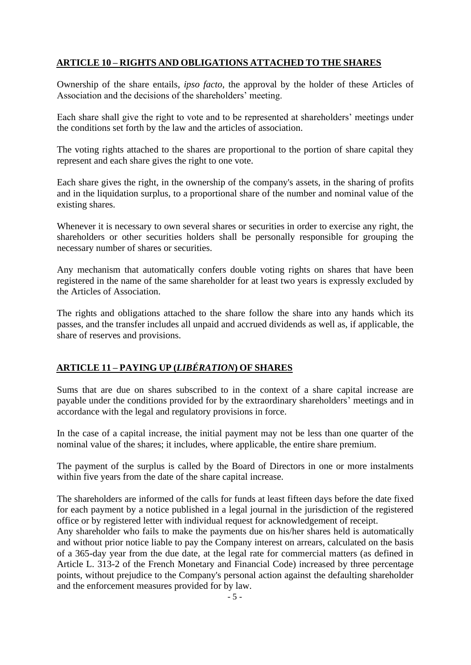# **ARTICLE 10 – RIGHTS AND OBLIGATIONS ATTACHED TO THE SHARES**

Ownership of the share entails, *ipso facto*, the approval by the holder of these Articles of Association and the decisions of the shareholders' meeting.

Each share shall give the right to vote and to be represented at shareholders' meetings under the conditions set forth by the law and the articles of association.

The voting rights attached to the shares are proportional to the portion of share capital they represent and each share gives the right to one vote.

Each share gives the right, in the ownership of the company's assets, in the sharing of profits and in the liquidation surplus, to a proportional share of the number and nominal value of the existing shares.

Whenever it is necessary to own several shares or securities in order to exercise any right, the shareholders or other securities holders shall be personally responsible for grouping the necessary number of shares or securities.

Any mechanism that automatically confers double voting rights on shares that have been registered in the name of the same shareholder for at least two years is expressly excluded by the Articles of Association.

The rights and obligations attached to the share follow the share into any hands which its passes, and the transfer includes all unpaid and accrued dividends as well as, if applicable, the share of reserves and provisions.

# **ARTICLE 11 – PAYING UP (***LIBÉRATION***) OF SHARES**

Sums that are due on shares subscribed to in the context of a share capital increase are payable under the conditions provided for by the extraordinary shareholders' meetings and in accordance with the legal and regulatory provisions in force.

In the case of a capital increase, the initial payment may not be less than one quarter of the nominal value of the shares; it includes, where applicable, the entire share premium.

The payment of the surplus is called by the Board of Directors in one or more instalments within five years from the date of the share capital increase.

The shareholders are informed of the calls for funds at least fifteen days before the date fixed for each payment by a notice published in a legal journal in the jurisdiction of the registered office or by registered letter with individual request for acknowledgement of receipt.

Any shareholder who fails to make the payments due on his/her shares held is automatically and without prior notice liable to pay the Company interest on arrears, calculated on the basis of a 365-day year from the due date, at the legal rate for commercial matters (as defined in Article L. 313-2 of the French Monetary and Financial Code) increased by three percentage points, without prejudice to the Company's personal action against the defaulting shareholder and the enforcement measures provided for by law.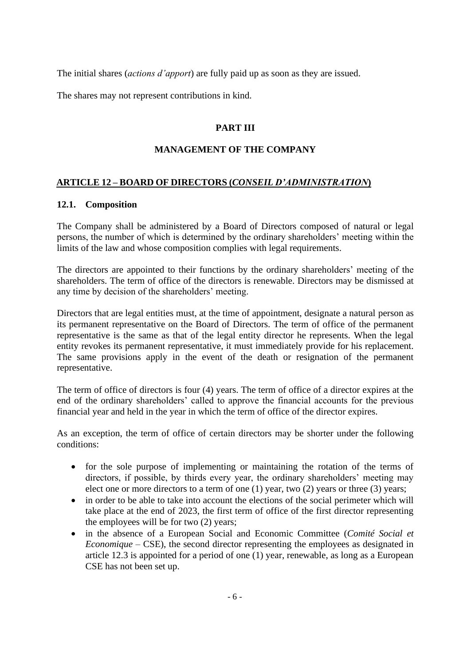The initial shares (*actions d'apport*) are fully paid up as soon as they are issued.

The shares may not represent contributions in kind.

# **PART III**

## **MANAGEMENT OF THE COMPANY**

## **ARTICLE 12 – BOARD OF DIRECTORS (***CONSEIL D'ADMINISTRATION***)**

#### **12.1. Composition**

The Company shall be administered by a Board of Directors composed of natural or legal persons, the number of which is determined by the ordinary shareholders' meeting within the limits of the law and whose composition complies with legal requirements.

The directors are appointed to their functions by the ordinary shareholders' meeting of the shareholders. The term of office of the directors is renewable. Directors may be dismissed at any time by decision of the shareholders' meeting.

Directors that are legal entities must, at the time of appointment, designate a natural person as its permanent representative on the Board of Directors. The term of office of the permanent representative is the same as that of the legal entity director he represents. When the legal entity revokes its permanent representative, it must immediately provide for his replacement. The same provisions apply in the event of the death or resignation of the permanent representative.

The term of office of directors is four (4) years. The term of office of a director expires at the end of the ordinary shareholders' called to approve the financial accounts for the previous financial year and held in the year in which the term of office of the director expires.

As an exception, the term of office of certain directors may be shorter under the following conditions:

- for the sole purpose of implementing or maintaining the rotation of the terms of directors, if possible, by thirds every year, the ordinary shareholders' meeting may elect one or more directors to a term of one (1) year, two (2) years or three (3) years;
- in order to be able to take into account the elections of the social perimeter which will take place at the end of 2023, the first term of office of the first director representing the employees will be for two (2) years;
- in the absence of a European Social and Economic Committee (*Comité Social et Economique –* CSE), the second director representing the employees as designated in article 12.3 is appointed for a period of one (1) year, renewable, as long as a European CSE has not been set up.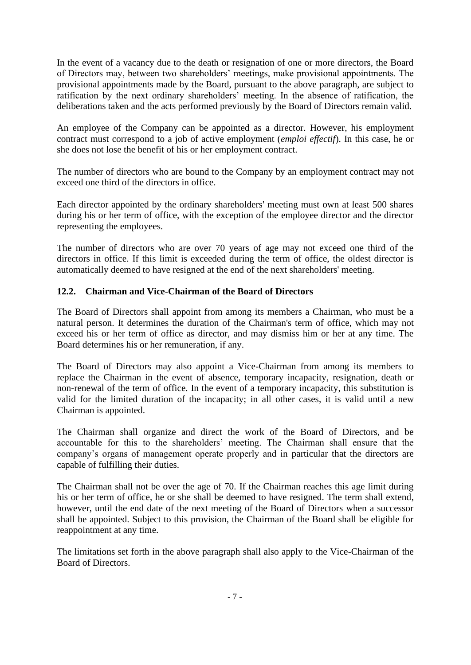In the event of a vacancy due to the death or resignation of one or more directors, the Board of Directors may, between two shareholders' meetings, make provisional appointments. The provisional appointments made by the Board, pursuant to the above paragraph, are subject to ratification by the next ordinary shareholders' meeting. In the absence of ratification, the deliberations taken and the acts performed previously by the Board of Directors remain valid.

An employee of the Company can be appointed as a director. However, his employment contract must correspond to a job of active employment (*emploi effectif*). In this case, he or she does not lose the benefit of his or her employment contract.

The number of directors who are bound to the Company by an employment contract may not exceed one third of the directors in office.

Each director appointed by the ordinary shareholders' meeting must own at least 500 shares during his or her term of office, with the exception of the employee director and the director representing the employees.

The number of directors who are over 70 years of age may not exceed one third of the directors in office. If this limit is exceeded during the term of office, the oldest director is automatically deemed to have resigned at the end of the next shareholders' meeting.

## **12.2. Chairman and Vice-Chairman of the Board of Directors**

The Board of Directors shall appoint from among its members a Chairman, who must be a natural person. It determines the duration of the Chairman's term of office, which may not exceed his or her term of office as director, and may dismiss him or her at any time. The Board determines his or her remuneration, if any.

The Board of Directors may also appoint a Vice-Chairman from among its members to replace the Chairman in the event of absence, temporary incapacity, resignation, death or non-renewal of the term of office. In the event of a temporary incapacity, this substitution is valid for the limited duration of the incapacity; in all other cases, it is valid until a new Chairman is appointed.

The Chairman shall organize and direct the work of the Board of Directors, and be accountable for this to the shareholders' meeting. The Chairman shall ensure that the company's organs of management operate properly and in particular that the directors are capable of fulfilling their duties.

The Chairman shall not be over the age of 70. If the Chairman reaches this age limit during his or her term of office, he or she shall be deemed to have resigned. The term shall extend, however, until the end date of the next meeting of the Board of Directors when a successor shall be appointed. Subject to this provision, the Chairman of the Board shall be eligible for reappointment at any time.

The limitations set forth in the above paragraph shall also apply to the Vice-Chairman of the Board of Directors.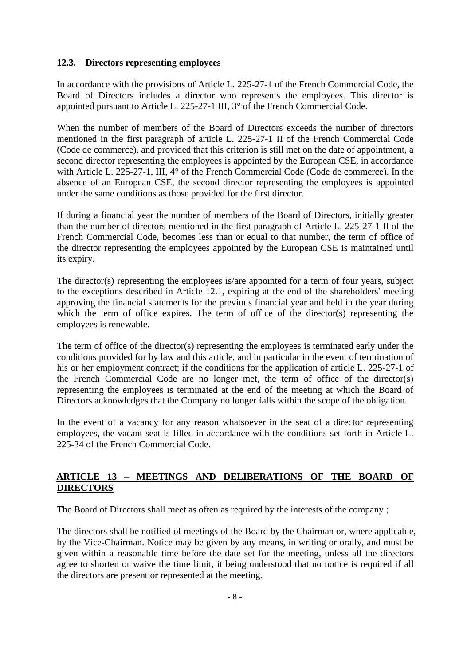## **12.3. Directors representing employees**

In accordance with the provisions of Article L. 225-27-1 of the French Commercial Code, the Board of Directors includes a director who represents the employees. This director is appointed pursuant to Article L. 225-27-1 III, 3° of the French Commercial Code.

When the number of members of the Board of Directors exceeds the number of directors mentioned in the first paragraph of article L. 225-27-1 II of the French Commercial Code (Code de commerce), and provided that this criterion is still met on the date of appointment, a second director representing the employees is appointed by the European CSE, in accordance with Article L. 225-27-1, III, 4° of the French Commercial Code (Code de commerce). In the absence of an European CSE, the second director representing the employees is appointed under the same conditions as those provided for the first director.

If during a financial year the number of members of the Board of Directors, initially greater than the number of directors mentioned in the first paragraph of Article L. 225-27-1 II of the French Commercial Code, becomes less than or equal to that number, the term of office of the director representing the employees appointed by the European CSE is maintained until its expiry.

The director(s) representing the employees is/are appointed for a term of four years, subject to the exceptions described in Article 12.1, expiring at the end of the shareholders' meeting approving the financial statements for the previous financial year and held in the year during which the term of office expires. The term of office of the director(s) representing the employees is renewable.

The term of office of the director(s) representing the employees is terminated early under the conditions provided for by law and this article, and in particular in the event of termination of his or her employment contract; if the conditions for the application of article L. 225-27-1 of the French Commercial Code are no longer met, the term of office of the director(s) representing the employees is terminated at the end of the meeting at which the Board of Directors acknowledges that the Company no longer falls within the scope of the obligation.

In the event of a vacancy for any reason whatsoever in the seat of a director representing employees, the vacant seat is filled in accordance with the conditions set forth in Article L. 225-34 of the French Commercial Code.

## **ARTICLE 13 – MEETINGS AND DELIBERATIONS OF THE BOARD OF DIRECTORS**

The Board of Directors shall meet as often as required by the interests of the company ;

The directors shall be notified of meetings of the Board by the Chairman or, where applicable, by the Vice-Chairman. Notice may be given by any means, in writing or orally, and must be given within a reasonable time before the date set for the meeting, unless all the directors agree to shorten or waive the time limit, it being understood that no notice is required if all the directors are present or represented at the meeting.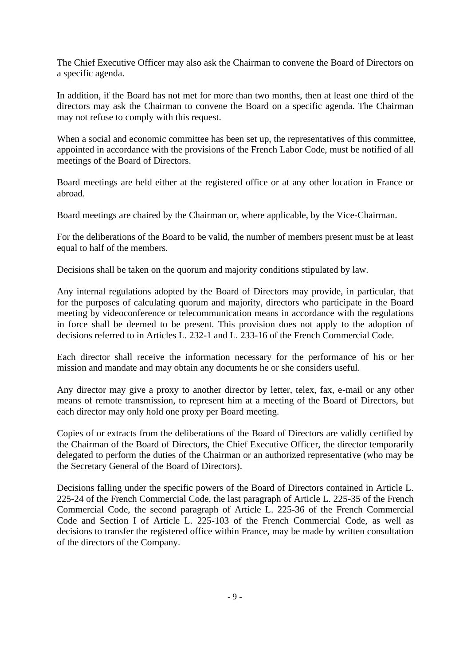The Chief Executive Officer may also ask the Chairman to convene the Board of Directors on a specific agenda.

In addition, if the Board has not met for more than two months, then at least one third of the directors may ask the Chairman to convene the Board on a specific agenda. The Chairman may not refuse to comply with this request.

When a social and economic committee has been set up, the representatives of this committee, appointed in accordance with the provisions of the French Labor Code, must be notified of all meetings of the Board of Directors.

Board meetings are held either at the registered office or at any other location in France or abroad.

Board meetings are chaired by the Chairman or, where applicable, by the Vice-Chairman.

For the deliberations of the Board to be valid, the number of members present must be at least equal to half of the members.

Decisions shall be taken on the quorum and majority conditions stipulated by law.

Any internal regulations adopted by the Board of Directors may provide, in particular, that for the purposes of calculating quorum and majority, directors who participate in the Board meeting by videoconference or telecommunication means in accordance with the regulations in force shall be deemed to be present. This provision does not apply to the adoption of decisions referred to in Articles L. 232-1 and L. 233-16 of the French Commercial Code.

Each director shall receive the information necessary for the performance of his or her mission and mandate and may obtain any documents he or she considers useful.

Any director may give a proxy to another director by letter, telex, fax, e-mail or any other means of remote transmission, to represent him at a meeting of the Board of Directors, but each director may only hold one proxy per Board meeting.

Copies of or extracts from the deliberations of the Board of Directors are validly certified by the Chairman of the Board of Directors, the Chief Executive Officer, the director temporarily delegated to perform the duties of the Chairman or an authorized representative (who may be the Secretary General of the Board of Directors).

Decisions falling under the specific powers of the Board of Directors contained in Article L. 225-24 of the French Commercial Code, the last paragraph of Article L. 225-35 of the French Commercial Code, the second paragraph of Article L. 225-36 of the French Commercial Code and Section I of Article L. 225-103 of the French Commercial Code, as well as decisions to transfer the registered office within France, may be made by written consultation of the directors of the Company.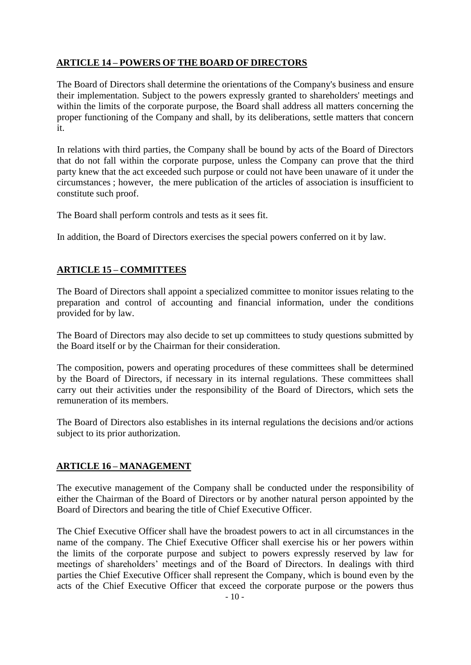# **ARTICLE 14 – POWERS OF THE BOARD OF DIRECTORS**

The Board of Directors shall determine the orientations of the Company's business and ensure their implementation. Subject to the powers expressly granted to shareholders' meetings and within the limits of the corporate purpose, the Board shall address all matters concerning the proper functioning of the Company and shall, by its deliberations, settle matters that concern it.

In relations with third parties, the Company shall be bound by acts of the Board of Directors that do not fall within the corporate purpose, unless the Company can prove that the third party knew that the act exceeded such purpose or could not have been unaware of it under the circumstances ; however, the mere publication of the articles of association is insufficient to constitute such proof.

The Board shall perform controls and tests as it sees fit.

In addition, the Board of Directors exercises the special powers conferred on it by law.

## **ARTICLE 15 – COMMITTEES**

The Board of Directors shall appoint a specialized committee to monitor issues relating to the preparation and control of accounting and financial information, under the conditions provided for by law.

The Board of Directors may also decide to set up committees to study questions submitted by the Board itself or by the Chairman for their consideration.

The composition, powers and operating procedures of these committees shall be determined by the Board of Directors, if necessary in its internal regulations. These committees shall carry out their activities under the responsibility of the Board of Directors, which sets the remuneration of its members.

The Board of Directors also establishes in its internal regulations the decisions and/or actions subject to its prior authorization.

## **ARTICLE 16 – MANAGEMENT**

The executive management of the Company shall be conducted under the responsibility of either the Chairman of the Board of Directors or by another natural person appointed by the Board of Directors and bearing the title of Chief Executive Officer.

The Chief Executive Officer shall have the broadest powers to act in all circumstances in the name of the company. The Chief Executive Officer shall exercise his or her powers within the limits of the corporate purpose and subject to powers expressly reserved by law for meetings of shareholders' meetings and of the Board of Directors. In dealings with third parties the Chief Executive Officer shall represent the Company, which is bound even by the acts of the Chief Executive Officer that exceed the corporate purpose or the powers thus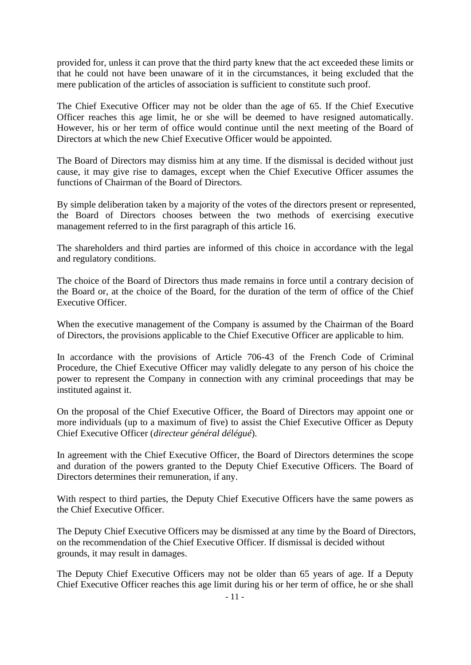provided for, unless it can prove that the third party knew that the act exceeded these limits or that he could not have been unaware of it in the circumstances, it being excluded that the mere publication of the articles of association is sufficient to constitute such proof.

The Chief Executive Officer may not be older than the age of 65. If the Chief Executive Officer reaches this age limit, he or she will be deemed to have resigned automatically. However, his or her term of office would continue until the next meeting of the Board of Directors at which the new Chief Executive Officer would be appointed.

The Board of Directors may dismiss him at any time. If the dismissal is decided without just cause, it may give rise to damages, except when the Chief Executive Officer assumes the functions of Chairman of the Board of Directors.

By simple deliberation taken by a majority of the votes of the directors present or represented, the Board of Directors chooses between the two methods of exercising executive management referred to in the first paragraph of this article 16.

The shareholders and third parties are informed of this choice in accordance with the legal and regulatory conditions.

The choice of the Board of Directors thus made remains in force until a contrary decision of the Board or, at the choice of the Board, for the duration of the term of office of the Chief Executive Officer.

When the executive management of the Company is assumed by the Chairman of the Board of Directors, the provisions applicable to the Chief Executive Officer are applicable to him.

In accordance with the provisions of Article 706-43 of the French Code of Criminal Procedure, the Chief Executive Officer may validly delegate to any person of his choice the power to represent the Company in connection with any criminal proceedings that may be instituted against it.

On the proposal of the Chief Executive Officer, the Board of Directors may appoint one or more individuals (up to a maximum of five) to assist the Chief Executive Officer as Deputy Chief Executive Officer (*directeur général délégué*).

In agreement with the Chief Executive Officer, the Board of Directors determines the scope and duration of the powers granted to the Deputy Chief Executive Officers. The Board of Directors determines their remuneration, if any.

With respect to third parties, the Deputy Chief Executive Officers have the same powers as the Chief Executive Officer.

The Deputy Chief Executive Officers may be dismissed at any time by the Board of Directors, on the recommendation of the Chief Executive Officer. If dismissal is decided without grounds, it may result in damages.

The Deputy Chief Executive Officers may not be older than 65 years of age. If a Deputy Chief Executive Officer reaches this age limit during his or her term of office, he or she shall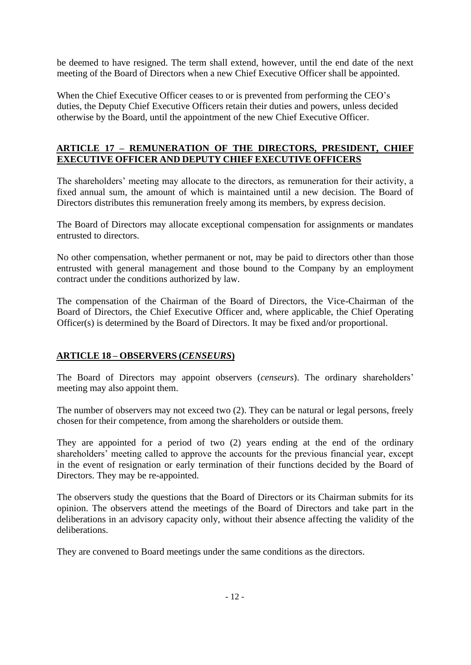be deemed to have resigned. The term shall extend, however, until the end date of the next meeting of the Board of Directors when a new Chief Executive Officer shall be appointed.

When the Chief Executive Officer ceases to or is prevented from performing the CEO's duties, the Deputy Chief Executive Officers retain their duties and powers, unless decided otherwise by the Board, until the appointment of the new Chief Executive Officer.

# **ARTICLE 17 – REMUNERATION OF THE DIRECTORS, PRESIDENT, CHIEF EXECUTIVE OFFICER AND DEPUTY CHIEF EXECUTIVE OFFICERS**

The shareholders' meeting may allocate to the directors, as remuneration for their activity, a fixed annual sum, the amount of which is maintained until a new decision. The Board of Directors distributes this remuneration freely among its members, by express decision.

The Board of Directors may allocate exceptional compensation for assignments or mandates entrusted to directors.

No other compensation, whether permanent or not, may be paid to directors other than those entrusted with general management and those bound to the Company by an employment contract under the conditions authorized by law.

The compensation of the Chairman of the Board of Directors, the Vice-Chairman of the Board of Directors, the Chief Executive Officer and, where applicable, the Chief Operating Officer(s) is determined by the Board of Directors. It may be fixed and/or proportional.

## **ARTICLE 18 – OBSERVERS (***CENSEURS***)**

The Board of Directors may appoint observers (*censeurs*). The ordinary shareholders' meeting may also appoint them.

The number of observers may not exceed two (2). They can be natural or legal persons, freely chosen for their competence, from among the shareholders or outside them.

They are appointed for a period of two (2) years ending at the end of the ordinary shareholders' meeting called to approve the accounts for the previous financial year, except in the event of resignation or early termination of their functions decided by the Board of Directors. They may be re-appointed.

The observers study the questions that the Board of Directors or its Chairman submits for its opinion. The observers attend the meetings of the Board of Directors and take part in the deliberations in an advisory capacity only, without their absence affecting the validity of the deliberations.

They are convened to Board meetings under the same conditions as the directors.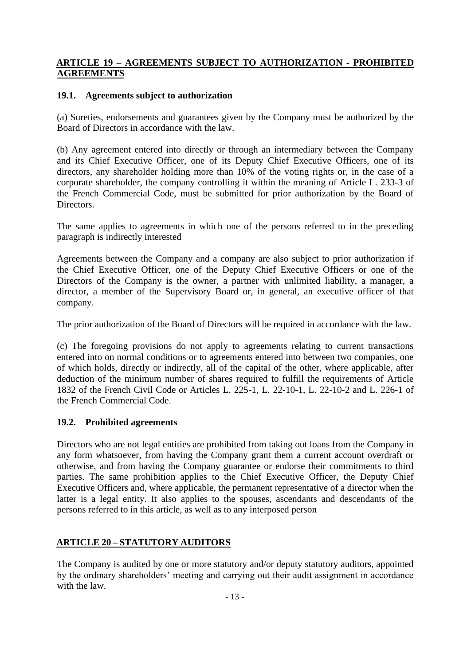## **ARTICLE 19 – AGREEMENTS SUBJECT TO AUTHORIZATION - PROHIBITED AGREEMENTS**

#### **19.1. Agreements subject to authorization**

(a) Sureties, endorsements and guarantees given by the Company must be authorized by the Board of Directors in accordance with the law.

(b) Any agreement entered into directly or through an intermediary between the Company and its Chief Executive Officer, one of its Deputy Chief Executive Officers, one of its directors, any shareholder holding more than 10% of the voting rights or, in the case of a corporate shareholder, the company controlling it within the meaning of Article L. 233-3 of the French Commercial Code, must be submitted for prior authorization by the Board of Directors.

The same applies to agreements in which one of the persons referred to in the preceding paragraph is indirectly interested

Agreements between the Company and a company are also subject to prior authorization if the Chief Executive Officer, one of the Deputy Chief Executive Officers or one of the Directors of the Company is the owner, a partner with unlimited liability, a manager, a director, a member of the Supervisory Board or, in general, an executive officer of that company.

The prior authorization of the Board of Directors will be required in accordance with the law.

(c) The foregoing provisions do not apply to agreements relating to current transactions entered into on normal conditions or to agreements entered into between two companies, one of which holds, directly or indirectly, all of the capital of the other, where applicable, after deduction of the minimum number of shares required to fulfill the requirements of Article 1832 of the French Civil Code or Articles L. 225-1, L. 22-10-1, L. 22-10-2 and L. 226-1 of the French Commercial Code.

## **19.2. Prohibited agreements**

Directors who are not legal entities are prohibited from taking out loans from the Company in any form whatsoever, from having the Company grant them a current account overdraft or otherwise, and from having the Company guarantee or endorse their commitments to third parties. The same prohibition applies to the Chief Executive Officer, the Deputy Chief Executive Officers and, where applicable, the permanent representative of a director when the latter is a legal entity. It also applies to the spouses, ascendants and descendants of the persons referred to in this article, as well as to any interposed person

# **ARTICLE 20 – STATUTORY AUDITORS**

The Company is audited by one or more statutory and/or deputy statutory auditors, appointed by the ordinary shareholders' meeting and carrying out their audit assignment in accordance with the law.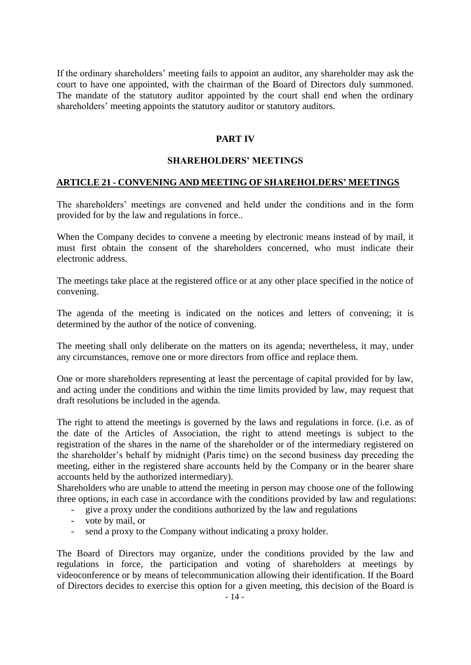If the ordinary shareholders' meeting fails to appoint an auditor, any shareholder may ask the court to have one appointed, with the chairman of the Board of Directors duly summoned. The mandate of the statutory auditor appointed by the court shall end when the ordinary shareholders' meeting appoints the statutory auditor or statutory auditors.

#### **PART IV**

#### **SHAREHOLDERS' MEETINGS**

#### **ARTICLE 21 - CONVENING AND MEETING OF SHAREHOLDERS' MEETINGS**

The shareholders' meetings are convened and held under the conditions and in the form provided for by the law and regulations in force..

When the Company decides to convene a meeting by electronic means instead of by mail, it must first obtain the consent of the shareholders concerned, who must indicate their electronic address.

The meetings take place at the registered office or at any other place specified in the notice of convening.

The agenda of the meeting is indicated on the notices and letters of convening; it is determined by the author of the notice of convening.

The meeting shall only deliberate on the matters on its agenda; nevertheless, it may, under any circumstances, remove one or more directors from office and replace them.

One or more shareholders representing at least the percentage of capital provided for by law, and acting under the conditions and within the time limits provided by law, may request that draft resolutions be included in the agenda.

The right to attend the meetings is governed by the laws and regulations in force. (i.e. as of the date of the Articles of Association, the right to attend meetings is subject to the registration of the shares in the name of the shareholder or of the intermediary registered on the shareholder's behalf by midnight (Paris time) on the second business day preceding the meeting, either in the registered share accounts held by the Company or in the bearer share accounts held by the authorized intermediary).

Shareholders who are unable to attend the meeting in person may choose one of the following three options, in each case in accordance with the conditions provided by law and regulations:

- give a proxy under the conditions authorized by the law and regulations
- vote by mail, or
- send a proxy to the Company without indicating a proxy holder.

The Board of Directors may organize, under the conditions provided by the law and regulations in force, the participation and voting of shareholders at meetings by videoconference or by means of telecommunication allowing their identification. If the Board of Directors decides to exercise this option for a given meeting, this decision of the Board is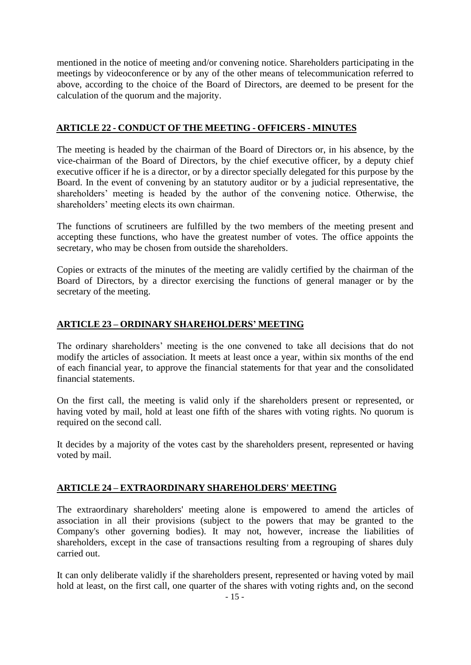mentioned in the notice of meeting and/or convening notice. Shareholders participating in the meetings by videoconference or by any of the other means of telecommunication referred to above, according to the choice of the Board of Directors, are deemed to be present for the calculation of the quorum and the majority.

## **ARTICLE 22 - CONDUCT OF THE MEETING - OFFICERS - MINUTES**

The meeting is headed by the chairman of the Board of Directors or, in his absence, by the vice-chairman of the Board of Directors, by the chief executive officer, by a deputy chief executive officer if he is a director, or by a director specially delegated for this purpose by the Board. In the event of convening by an statutory auditor or by a judicial representative, the shareholders' meeting is headed by the author of the convening notice. Otherwise, the shareholders' meeting elects its own chairman.

The functions of scrutineers are fulfilled by the two members of the meeting present and accepting these functions, who have the greatest number of votes. The office appoints the secretary, who may be chosen from outside the shareholders.

Copies or extracts of the minutes of the meeting are validly certified by the chairman of the Board of Directors, by a director exercising the functions of general manager or by the secretary of the meeting.

#### **ARTICLE 23 – ORDINARY SHAREHOLDERS' MEETING**

The ordinary shareholders' meeting is the one convened to take all decisions that do not modify the articles of association. It meets at least once a year, within six months of the end of each financial year, to approve the financial statements for that year and the consolidated financial statements.

On the first call, the meeting is valid only if the shareholders present or represented, or having voted by mail, hold at least one fifth of the shares with voting rights. No quorum is required on the second call.

It decides by a majority of the votes cast by the shareholders present, represented or having voted by mail.

## **ARTICLE 24 – EXTRAORDINARY SHAREHOLDERS' MEETING**

The extraordinary shareholders' meeting alone is empowered to amend the articles of association in all their provisions (subject to the powers that may be granted to the Company's other governing bodies). It may not, however, increase the liabilities of shareholders, except in the case of transactions resulting from a regrouping of shares duly carried out.

It can only deliberate validly if the shareholders present, represented or having voted by mail hold at least, on the first call, one quarter of the shares with voting rights and, on the second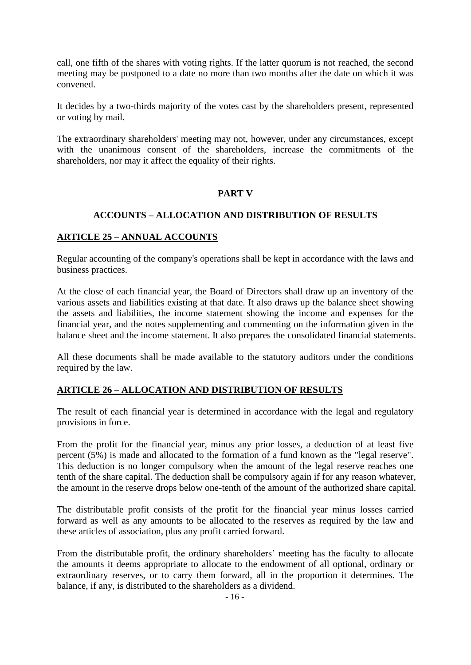call, one fifth of the shares with voting rights. If the latter quorum is not reached, the second meeting may be postponed to a date no more than two months after the date on which it was convened.

It decides by a two-thirds majority of the votes cast by the shareholders present, represented or voting by mail.

The extraordinary shareholders' meeting may not, however, under any circumstances, except with the unanimous consent of the shareholders, increase the commitments of the shareholders, nor may it affect the equality of their rights.

## **PART V**

#### **ACCOUNTS – ALLOCATION AND DISTRIBUTION OF RESULTS**

#### **ARTICLE 25 – ANNUAL ACCOUNTS**

Regular accounting of the company's operations shall be kept in accordance with the laws and business practices.

At the close of each financial year, the Board of Directors shall draw up an inventory of the various assets and liabilities existing at that date. It also draws up the balance sheet showing the assets and liabilities, the income statement showing the income and expenses for the financial year, and the notes supplementing and commenting on the information given in the balance sheet and the income statement. It also prepares the consolidated financial statements.

All these documents shall be made available to the statutory auditors under the conditions required by the law.

#### **ARTICLE 26 – ALLOCATION AND DISTRIBUTION OF RESULTS**

The result of each financial year is determined in accordance with the legal and regulatory provisions in force.

From the profit for the financial year, minus any prior losses, a deduction of at least five percent (5%) is made and allocated to the formation of a fund known as the "legal reserve". This deduction is no longer compulsory when the amount of the legal reserve reaches one tenth of the share capital. The deduction shall be compulsory again if for any reason whatever, the amount in the reserve drops below one-tenth of the amount of the authorized share capital.

The distributable profit consists of the profit for the financial year minus losses carried forward as well as any amounts to be allocated to the reserves as required by the law and these articles of association, plus any profit carried forward.

From the distributable profit, the ordinary shareholders' meeting has the faculty to allocate the amounts it deems appropriate to allocate to the endowment of all optional, ordinary or extraordinary reserves, or to carry them forward, all in the proportion it determines. The balance, if any, is distributed to the shareholders as a dividend.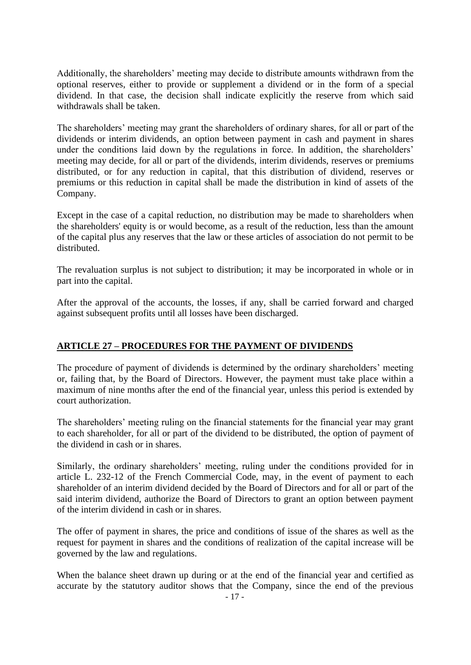Additionally, the shareholders' meeting may decide to distribute amounts withdrawn from the optional reserves, either to provide or supplement a dividend or in the form of a special dividend. In that case, the decision shall indicate explicitly the reserve from which said withdrawals shall be taken.

The shareholders' meeting may grant the shareholders of ordinary shares, for all or part of the dividends or interim dividends, an option between payment in cash and payment in shares under the conditions laid down by the regulations in force. In addition, the shareholders' meeting may decide, for all or part of the dividends, interim dividends, reserves or premiums distributed, or for any reduction in capital, that this distribution of dividend, reserves or premiums or this reduction in capital shall be made the distribution in kind of assets of the Company.

Except in the case of a capital reduction, no distribution may be made to shareholders when the shareholders' equity is or would become, as a result of the reduction, less than the amount of the capital plus any reserves that the law or these articles of association do not permit to be distributed.

The revaluation surplus is not subject to distribution; it may be incorporated in whole or in part into the capital.

After the approval of the accounts, the losses, if any, shall be carried forward and charged against subsequent profits until all losses have been discharged.

## **ARTICLE 27 – PROCEDURES FOR THE PAYMENT OF DIVIDENDS**

The procedure of payment of dividends is determined by the ordinary shareholders' meeting or, failing that, by the Board of Directors. However, the payment must take place within a maximum of nine months after the end of the financial year, unless this period is extended by court authorization.

The shareholders' meeting ruling on the financial statements for the financial year may grant to each shareholder, for all or part of the dividend to be distributed, the option of payment of the dividend in cash or in shares.

Similarly, the ordinary shareholders' meeting, ruling under the conditions provided for in article L. 232-12 of the French Commercial Code, may, in the event of payment to each shareholder of an interim dividend decided by the Board of Directors and for all or part of the said interim dividend, authorize the Board of Directors to grant an option between payment of the interim dividend in cash or in shares.

The offer of payment in shares, the price and conditions of issue of the shares as well as the request for payment in shares and the conditions of realization of the capital increase will be governed by the law and regulations.

When the balance sheet drawn up during or at the end of the financial year and certified as accurate by the statutory auditor shows that the Company, since the end of the previous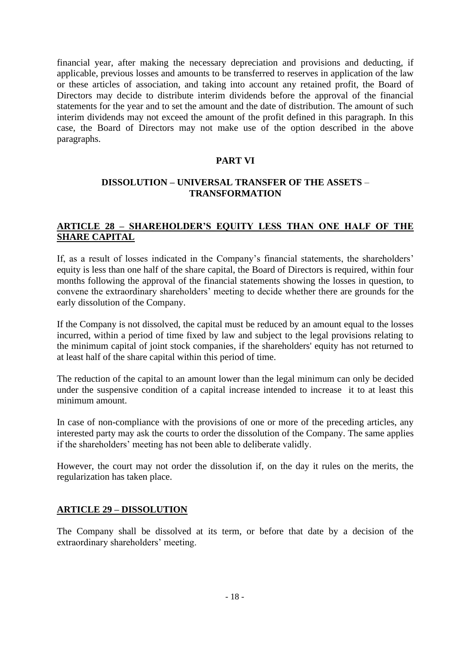financial year, after making the necessary depreciation and provisions and deducting, if applicable, previous losses and amounts to be transferred to reserves in application of the law or these articles of association, and taking into account any retained profit, the Board of Directors may decide to distribute interim dividends before the approval of the financial statements for the year and to set the amount and the date of distribution. The amount of such interim dividends may not exceed the amount of the profit defined in this paragraph. In this case, the Board of Directors may not make use of the option described in the above paragraphs.

#### **PART VI**

#### **DISSOLUTION – UNIVERSAL TRANSFER OF THE ASSETS** – **TRANSFORMATION**

## **ARTICLE 28 – SHAREHOLDER'S EQUITY LESS THAN ONE HALF OF THE SHARE CAPITAL**

If, as a result of losses indicated in the Company's financial statements, the shareholders' equity is less than one half of the share capital, the Board of Directors is required, within four months following the approval of the financial statements showing the losses in question, to convene the extraordinary shareholders' meeting to decide whether there are grounds for the early dissolution of the Company.

If the Company is not dissolved, the capital must be reduced by an amount equal to the losses incurred, within a period of time fixed by law and subject to the legal provisions relating to the minimum capital of joint stock companies, if the shareholders' equity has not returned to at least half of the share capital within this period of time.

The reduction of the capital to an amount lower than the legal minimum can only be decided under the suspensive condition of a capital increase intended to increase it to at least this minimum amount.

In case of non-compliance with the provisions of one or more of the preceding articles, any interested party may ask the courts to order the dissolution of the Company. The same applies if the shareholders' meeting has not been able to deliberate validly.

However, the court may not order the dissolution if, on the day it rules on the merits, the regularization has taken place.

#### **ARTICLE 29 – DISSOLUTION**

The Company shall be dissolved at its term, or before that date by a decision of the extraordinary shareholders' meeting.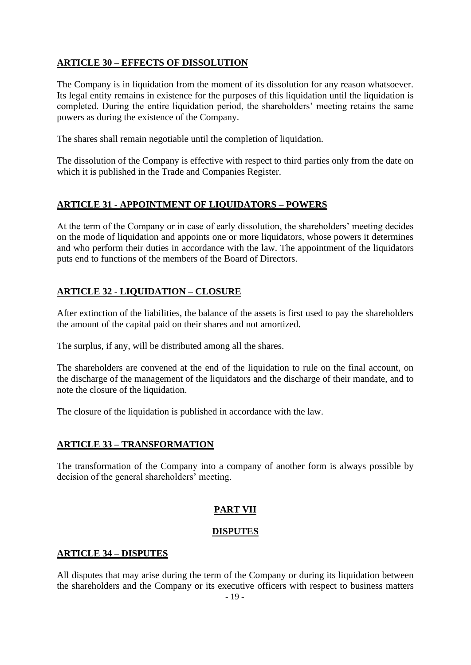# **ARTICLE 30 – EFFECTS OF DISSOLUTION**

The Company is in liquidation from the moment of its dissolution for any reason whatsoever. Its legal entity remains in existence for the purposes of this liquidation until the liquidation is completed. During the entire liquidation period, the shareholders' meeting retains the same powers as during the existence of the Company.

The shares shall remain negotiable until the completion of liquidation.

The dissolution of the Company is effective with respect to third parties only from the date on which it is published in the Trade and Companies Register.

## **ARTICLE 31 - APPOINTMENT OF LIQUIDATORS – POWERS**

At the term of the Company or in case of early dissolution, the shareholders' meeting decides on the mode of liquidation and appoints one or more liquidators, whose powers it determines and who perform their duties in accordance with the law. The appointment of the liquidators puts end to functions of the members of the Board of Directors.

## **ARTICLE 32 - LIQUIDATION – CLOSURE**

After extinction of the liabilities, the balance of the assets is first used to pay the shareholders the amount of the capital paid on their shares and not amortized.

The surplus, if any, will be distributed among all the shares.

The shareholders are convened at the end of the liquidation to rule on the final account, on the discharge of the management of the liquidators and the discharge of their mandate, and to note the closure of the liquidation.

The closure of the liquidation is published in accordance with the law.

## **ARTICLE 33 – TRANSFORMATION**

The transformation of the Company into a company of another form is always possible by decision of the general shareholders' meeting.

## **PART VII**

#### **DISPUTES**

#### **ARTICLE 34 – DISPUTES**

All disputes that may arise during the term of the Company or during its liquidation between the shareholders and the Company or its executive officers with respect to business matters